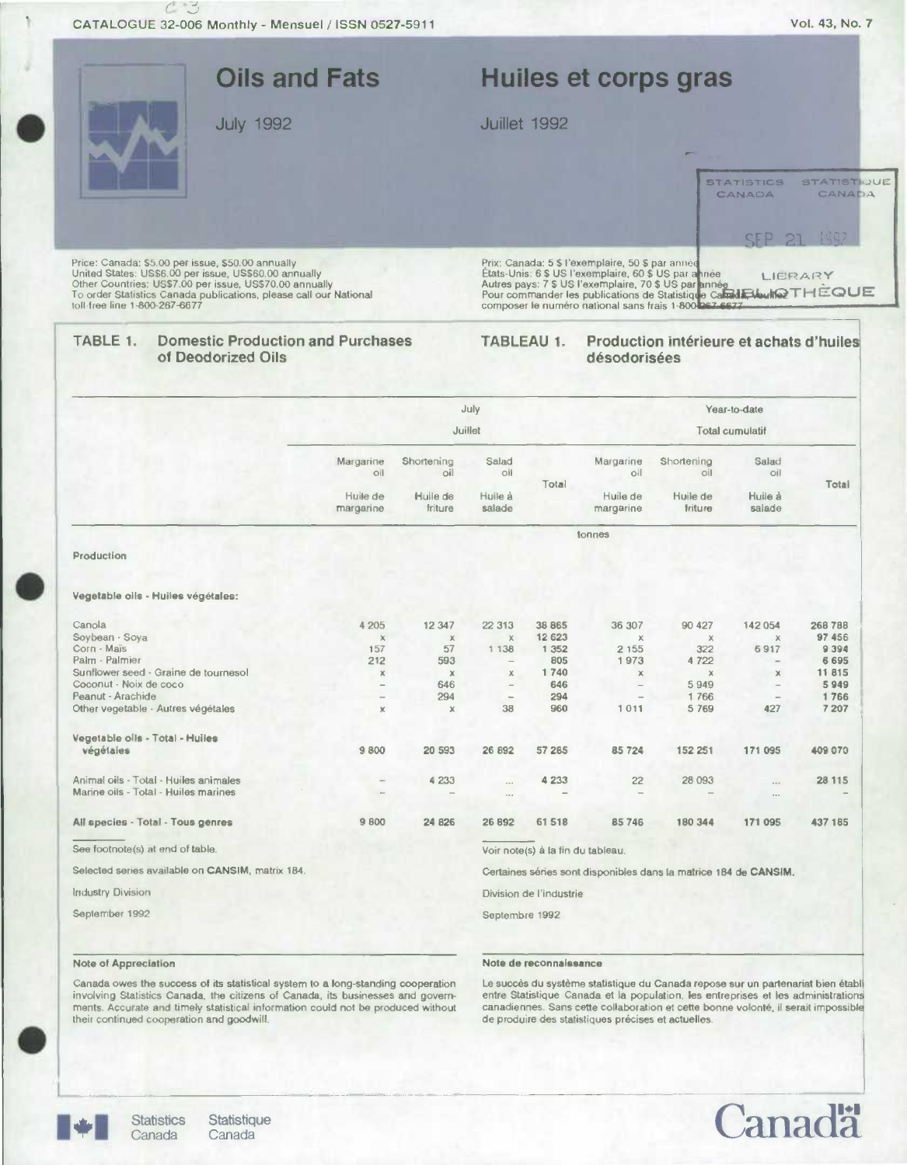|                                                                                                                                                                                                                                                                             | <b>Oils and Fats</b>  |                     |                   |                   | Huiles et corps gras                                                                                                                                                                                                                                                                                |                                          |                             |                              |  |
|-----------------------------------------------------------------------------------------------------------------------------------------------------------------------------------------------------------------------------------------------------------------------------|-----------------------|---------------------|-------------------|-------------------|-----------------------------------------------------------------------------------------------------------------------------------------------------------------------------------------------------------------------------------------------------------------------------------------------------|------------------------------------------|-----------------------------|------------------------------|--|
| <b>July 1992</b>                                                                                                                                                                                                                                                            |                       |                     |                   | Juillet 1992      |                                                                                                                                                                                                                                                                                                     |                                          |                             |                              |  |
|                                                                                                                                                                                                                                                                             |                       |                     |                   |                   |                                                                                                                                                                                                                                                                                                     |                                          | <b>STATISTICS</b><br>CANAOA | <b>STATISTIQUE</b><br>CANADA |  |
|                                                                                                                                                                                                                                                                             |                       |                     |                   |                   |                                                                                                                                                                                                                                                                                                     |                                          | SEP 21                      | 1992                         |  |
| Price: Canada: \$5.00 per issue, \$50.00 annually<br>United States: US\$6.00 per issue, US\$60.00 annually<br>Other Countries: US\$7.00 per issue, US\$70.00 annually<br>To order Statistics Canada publications, please call our National<br>toll-free line 1-800-267-6677 |                       |                     |                   |                   | Prix: Canada: 5 \$ l'exemplaire, 50 \$ par année<br>Etats-Unis: 6 \$ US l'exemplaire, 60 \$ US par année<br>Autres pays: 7 \$ US l'exemplaire, 70 \$ US par année<br>Pour commander les publications de Statistique Camil Elioution THEOUE<br>composer le numéro national sans frais 1-800 067-6677 |                                          |                             | LIERARY                      |  |
| <b>Domestic Production and Purchases</b><br>TABLE 1.<br>of Deodorized Oils                                                                                                                                                                                                  |                       |                     |                   | <b>TABLEAU 1.</b> | désodorisées                                                                                                                                                                                                                                                                                        | Production intérieure et achats d'huiles |                             |                              |  |
|                                                                                                                                                                                                                                                                             |                       |                     | July              |                   |                                                                                                                                                                                                                                                                                                     |                                          | Year-to-date                |                              |  |
|                                                                                                                                                                                                                                                                             |                       |                     | Juillet           |                   |                                                                                                                                                                                                                                                                                                     |                                          | <b>Total cumulatif</b>      |                              |  |
|                                                                                                                                                                                                                                                                             | Margarine<br>oil      | Shortening<br>oil   | Salad<br>oil      | Total             | Margarine<br>oil                                                                                                                                                                                                                                                                                    | Shortening<br>oil                        | Salad<br>oil                | Total                        |  |
|                                                                                                                                                                                                                                                                             | Huile de<br>margarine | Huile de<br>friture | Huile à<br>salade |                   | Huile de<br>margarine                                                                                                                                                                                                                                                                               | Huile de<br>friture                      | Huile à<br>salade           |                              |  |
|                                                                                                                                                                                                                                                                             |                       |                     | tonnes            |                   |                                                                                                                                                                                                                                                                                                     |                                          |                             |                              |  |
| Production<br>Vegetable oils - Huiles végétales:                                                                                                                                                                                                                            |                       |                     |                   |                   |                                                                                                                                                                                                                                                                                                     |                                          |                             |                              |  |
| Canola                                                                                                                                                                                                                                                                      | 4 205                 | 12 3 4 7            | 22 313            | 38 865            | 36 307                                                                                                                                                                                                                                                                                              | 90 427                                   | 142 054                     | 268 788                      |  |
| Soybean · Soya                                                                                                                                                                                                                                                              | $\mathbb X$           | $\chi$              | $\mathbb X$       | 12 6 23           | $\times$                                                                                                                                                                                                                                                                                            | $\times$                                 | X                           | 97 456                       |  |
| Corn - Maïs                                                                                                                                                                                                                                                                 | 157                   | 57                  | 1 1 3 8           | 1 3 5 2           | 2 1 5 5                                                                                                                                                                                                                                                                                             | 322                                      | 6917                        | 9 3 9 4                      |  |
| Palm - Palmier<br>Sunflower seed - Graine de tournesol                                                                                                                                                                                                                      | 212<br>Х              | 593<br>$\mathbb X$  | Х                 | 805<br>1740       | 1973<br>$\chi$                                                                                                                                                                                                                                                                                      | 4 7 2 2<br>$\times$                      | $\times$                    | 6695<br>11815                |  |
| Coconut - Noix de coco                                                                                                                                                                                                                                                      |                       | 646                 |                   | 646               |                                                                                                                                                                                                                                                                                                     | 5949                                     |                             | 5949                         |  |
| Peanut - Arachide                                                                                                                                                                                                                                                           | $\leftarrow$          | 294                 | $\qquad \qquad -$ | 294               |                                                                                                                                                                                                                                                                                                     | 1766                                     |                             | 1766                         |  |
| Other vegetable - Autres végétales                                                                                                                                                                                                                                          | x                     | $\mathbb X$         | 38                | 960               | 1011                                                                                                                                                                                                                                                                                                | 5 7 6 9                                  | 427                         | 7 207                        |  |
| Vegetable oils - Total - Huiles<br>végétales                                                                                                                                                                                                                                | 9800                  | 20 593              | 26 892            | 57 285            | 85724                                                                                                                                                                                                                                                                                               | 152 251                                  | 171 095                     | 409 070                      |  |
| Animal oils - Total - Huiles animales                                                                                                                                                                                                                                       |                       | 4 2 3 3             |                   | 4 2 3 3           | 22                                                                                                                                                                                                                                                                                                  | 28 093                                   |                             | 28 115                       |  |
| Marine oils - Total - Huiles marines                                                                                                                                                                                                                                        |                       |                     | $\cdots$<br>1.1.4 |                   |                                                                                                                                                                                                                                                                                                     |                                          | $\cdots$                    |                              |  |
|                                                                                                                                                                                                                                                                             |                       |                     |                   |                   |                                                                                                                                                                                                                                                                                                     |                                          |                             |                              |  |

Industry Division Division Division de l'industrie

 $\overline{\phantom{a}}$ 

September 1992 Septembre 1992

### Note of Appreciation Note de reconnaissance

Canada owes the success of its statistical system to a long-standing cooperation —— Le succès du système statistique du Canada repose sur un partenariat bien établ<br>involving Statistics Canada, the citizens of Canada, its b ments. Accurate and timely statistical information could not be produced without canadiennes. Sans cette collaboration et cette bonne volonté, il serait impossible (neir continued cooperation and goodwill, our dividend es





Statistics Statistique<br>Canada Canada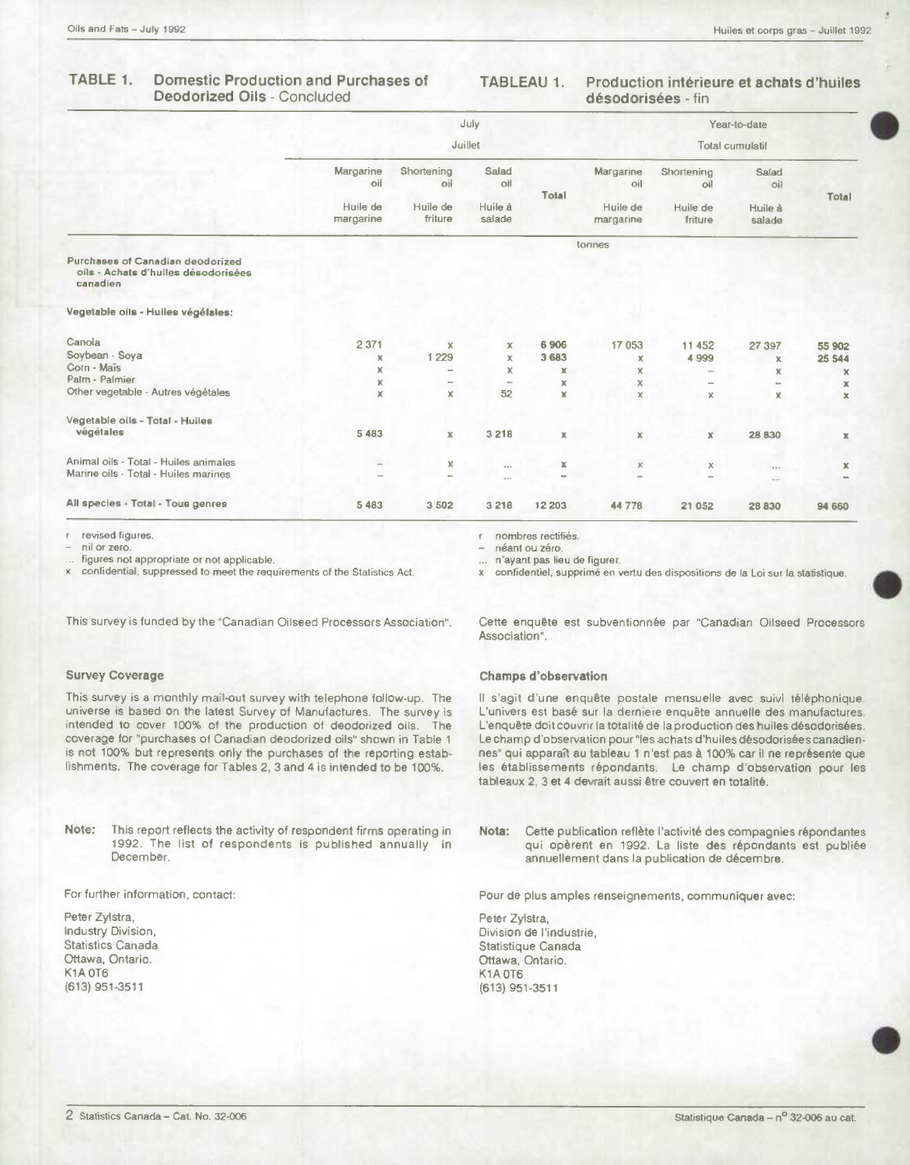#### TABLE 1. **Domestic Production and Purchases of Deodorized Oils - Concluded**

#### Production intérieure et achats d'huiles **TABLEAU 1.** désodorisées - fin

|                                                                                     |                       |                     | July                     |             |                        |                          | Year-to-date      |             |
|-------------------------------------------------------------------------------------|-----------------------|---------------------|--------------------------|-------------|------------------------|--------------------------|-------------------|-------------|
|                                                                                     | Juillet               |                     |                          |             | <b>Total cumulatif</b> |                          |                   |             |
|                                                                                     | Margarine<br>oil      | Shortening<br>oil   | Salad<br>oil             | Total       | Margarine<br>oil       | Shortening<br>oil        | Salad<br>oil      |             |
|                                                                                     | Huile de<br>margarine | Huile de<br>friture | Huile à<br>salade        |             | Huile de<br>margarine  | Huile de<br>friture      | Huile à<br>salade | Total       |
|                                                                                     |                       |                     |                          |             | tonnes                 |                          |                   |             |
| Purchases of Canadian deodorized<br>oils - Achats d'huiles désodorisées<br>canadien |                       |                     |                          |             |                        |                          |                   |             |
| Vegetable oils - Hulles végélales:                                                  |                       |                     |                          |             |                        |                          |                   |             |
| Canola                                                                              | 2 3 7 1               | x                   | x                        | 6906        | 17 053                 | 11 452                   | 27 397            | 55 902      |
| Soybean - Soya                                                                      | $\mathbb X$           | 1 2 2 9             | x                        | 3 6 8 3     | ×                      | 4 9 9 9                  | x                 | 25 544      |
| Corn - Maïs                                                                         | x                     | ۰                   | x                        | x           | x                      |                          | $\mathbf x$       | x           |
| Palm - Palmier                                                                      | x                     | m.                  | $\overline{\phantom{a}}$ | x           | х                      | $\overline{\phantom{a}}$ | m.                | x           |
| Other vegetable - Autres végétales                                                  | x                     | x                   | 52                       | $\mathbf x$ | ×                      | x                        | x                 | $\mathbf x$ |
| Vegetable oils - Total - Hulles                                                     |                       |                     |                          |             |                        |                          |                   |             |
| végétales                                                                           | 5 4 8 3               | $\mathbb X$         | 3218                     | $\mathbb X$ | $\mathbf x$            | $\mathbb X$              | <b>28 B30</b>     | $\mathbb X$ |
| Animal oils - Total - Huiles animales                                               |                       | x                   | $\cdots$                 | $\mathbb X$ | ×                      | ×                        | $\cdots$          | $\mathbf x$ |
| Marine oils - Total - Huiles marines                                                |                       | ÷                   | $-$                      |             |                        |                          | $11 -$            |             |
| All species - Total - Tous genres                                                   | 5 4 8 3               | 3 5 0 2             | 3 2 1 8                  | 12 203      | 44 778                 | 21 052                   | 28 830            | 94 660      |

revised figures.

nil or zero.

figures not appropriate or not applicable.

confidential, suppressed to meet the requirements of the Statistics Act.

This survey is funded by the "Canadian Oilseed Processors Association".

### **Survey Coverage**

This survey is a monthly mail-out survey with telephone follow-up. The universe is based on the latest Survey of Manufactures. The survey is intended to cover 100% of the production of deodorized oils. The coverage for "purchases of Canadian deodorized oils" shown in Table 1 is not 100% but represents only the purchases of the reporting establishments. The coverage for Tables 2, 3 and 4 is intended to be 100%.

This report reflects the activity of respondent firms operating in Note: 1992. The list of respondents is published annually in December.

For further information, contact:

Peter Zylstra, Industry Division, Statistics Canada Ottawa, Ontario. K1A OT6 (613) 951-3511

nombres rectifiés. ŕ

néant ou zéro.

n'ayant pas lieu de figurer.  $\ddot{\phantom{0}}$ 

x confidentiel, supprimé en vertu des dispositions de la Loi sur la statistique.

Cette enquête est subventionnée par "Canadian Oilseed Processors Association".

#### **Champs d'observation**

Il s'agit d'une enquête postale mensuelle avec suivi téléphonique. L'univers est basé sur la derniere enquête annuelle des manufactures. L'enquête doit couvrir la totalité de la production des huiles désodorisées. Le champ d'observation pour "les achats d'huiles désodorisées canadiennes" qui apparaît au tableau 1 n'est pas à 100% car il ne représente que les établissements répondants. Le champ d'observation pour les tableaux 2, 3 et 4 devrait aussi être couvert en totalité.

Nota: Cette publication reflète l'activité des compagnies répondantes qui opèrent en 1992. La liste des répondants est publiée annuellement dans la publication de décembre.

Pour de plus amples renseignements, communiquer avec:

Peter Zylstra, Division de l'industrie, Statistique Canada Ottawa, Ontario. K1A 0T6 (613) 951-3511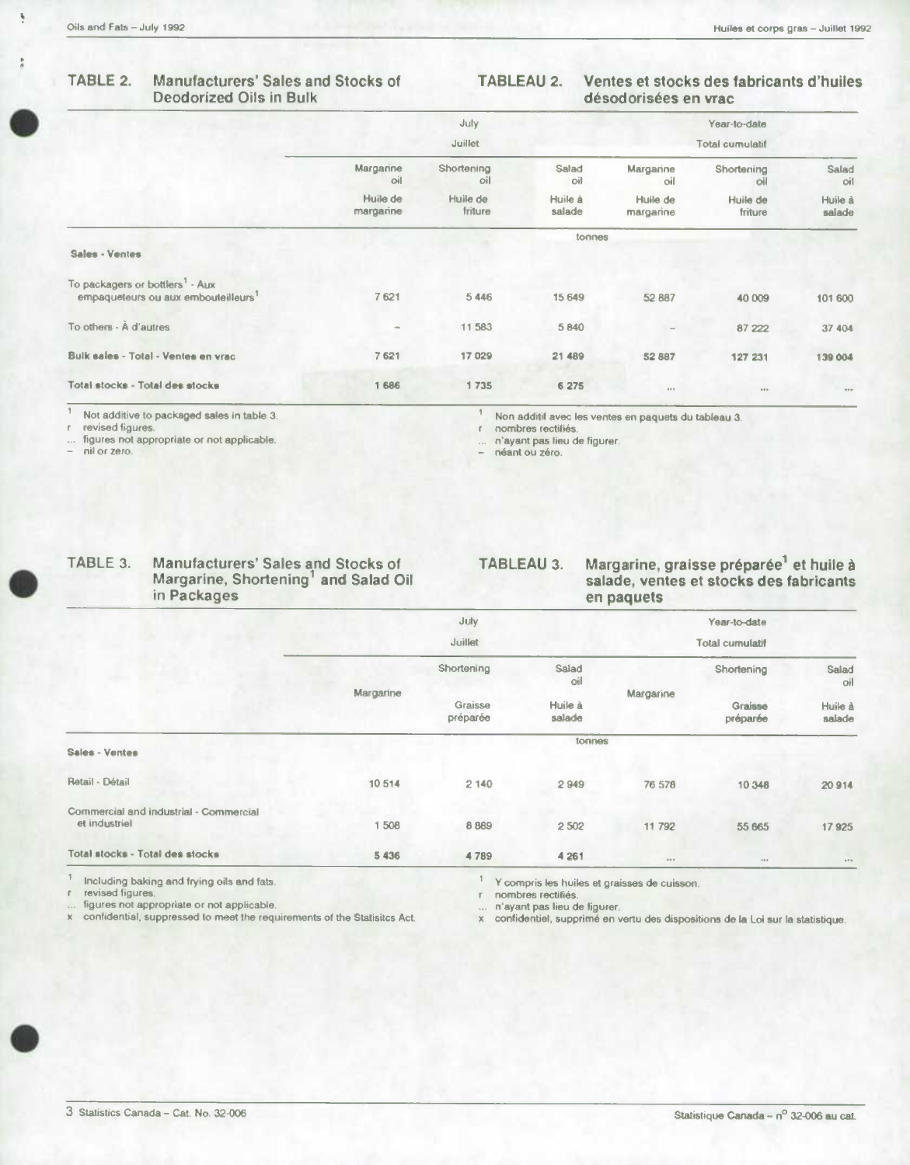Ņ

#### TABLE 2. Manufacturers' Sales and Stocks of **Deodorized Oils in Bulk**

#### **TABLEAU 2.** Ventes et stocks des fabricants d'huiles désodorisées en vrac

|                                                                                                |                       | July                |                   |                       | Year-to-date        |                   |
|------------------------------------------------------------------------------------------------|-----------------------|---------------------|-------------------|-----------------------|---------------------|-------------------|
|                                                                                                | Juillet               |                     |                   |                       |                     |                   |
|                                                                                                | Margarine<br>oil      | Shortening<br>oil   | Salad<br>oil      | Margarine<br>oil      | Shortening<br>oil   | Salad<br>oil      |
|                                                                                                | Huile de<br>margarine | Huile de<br>friture | Huile à<br>salade | Huile de<br>margarine | Huile de<br>friture | Huile à<br>salade |
| <b>Sales - Ventes</b>                                                                          |                       |                     | tonnes            |                       |                     |                   |
| To packagers or bottlers <sup>1</sup> - Aux<br>empaqueteurs ou aux embouteilleurs <sup>1</sup> | 7621                  | 5446                | 15 649            | 52 887                | 40 009              | 101 600           |
| To others - A d'autres                                                                         | $\sigma\omega$        | 11 583              | 5840              | $\sim$                | 87 222              | 37 404            |
| Buik sales - Total - Ventes en vrac                                                            | 7621                  | 17029               | 21 489            | 52887                 | 127 231             | 139 004           |
| Total stocks - Total des stocks                                                                | 1686                  | 1735                | 6 275             | 0.0.9                 | 0.9.9               | 0.05              |

Not additive to packaged sales in table 3.

revised figures.

figures not appropriate or not applicable. nil or zero.

Non additif avec les ventes en paquets du tableau 3. nombres rectifiés.

 $\mathbf{r}$ n'ayant pas lieu de figurer.

... n'ayant pas nei<br>- néant ou zéro.

 $\mathbb{1}$ 

| ABLE 3. | <b>Manufacturers' Sales and Stocks of</b> |
|---------|-------------------------------------------|
|         | Margarine, Shortening and Salad Oil       |
|         | in Packages                               |
|         |                                           |

## Margarine, graisse préparée<sup>1</sup> et huile à<br>salade, ventes et stocks des fabricants **TABLEAU 3.** en paquets

|                                                         |           | July                |                   |           | Year-to-date           |                   |
|---------------------------------------------------------|-----------|---------------------|-------------------|-----------|------------------------|-------------------|
|                                                         |           | Juillet             |                   |           | <b>Total cumulatif</b> |                   |
|                                                         | Margarine | Shortening          | Salad<br>oil      |           | Shortening             | Salad<br>oil      |
|                                                         |           | Graisse<br>préparée | Huile à<br>salade | Margarine | Graisse<br>préparée    | Huile à<br>salade |
| Sales - Ventes                                          |           |                     | tonnes            |           |                        |                   |
| Retail - Détail                                         | 10514     | 2140                | 2949              | 76 578    | 10 348                 | 20914             |
| Commercial and industrial - Commercial<br>et industriel | 1508      | 8 8 8 9             | 2502              | 11792     | 55 665                 | 17925             |
| Total stocks - Total des stocks                         | 5 4 3 6   | 4789                | 4 2 6 1           | 0.001     | 0.9.9                  | $\pm$ 0 $\pm$     |

Including baking and frying oils and fats.

revised figures.

figures not appropriate or not applicable.

confidential, suppressed to meet the requirements of the Statisitcs Act.

 $\mathbb{I}$ Y compris les huiles et graisses de cuisson.

 $\bar{\Gamma}$ nombres rectifiés.

n'ayant pas lieu de figurer.

... n'ayant pas lieu de figurer.<br>x confidentiel, supprimé en vertu des dispositions de la Loi sur la statistique.